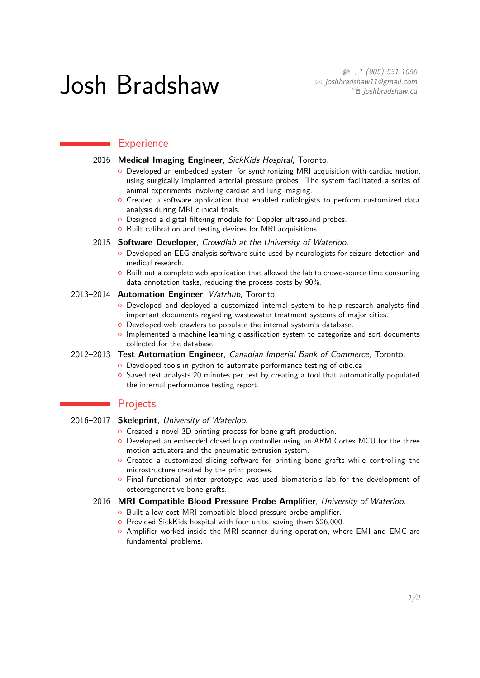# Josh Bradshaw

## **Experience**

#### 2016 **Medical Imaging Engineer**, SickKids Hospital, Toronto.

- { Developed an embedded system for synchronizing MRI acquisition with cardiac motion, using surgically implanted arterial pressure probes. The system facilitated a series of animal experiments involving cardiac and lung imaging.
- <sup>o</sup> Created a software application that enabled radiologists to perform customized data analysis during MRI clinical trials.
- **o** Designed a digital filtering module for Doppler ultrasound probes.
- **o** Built calibration and testing devices for MRI acquisitions.

#### 2015 **Software Developer**, Crowdlab at the University of Waterloo.

- { Developed an EEG analysis software suite used by neurologists for seizure detection and medical research.
- $\circ$  Built out a complete web application that allowed the lab to crowd-source time consuming data annotation tasks, reducing the process costs by 90%.

#### 2013–2014 **Automation Engineer**, Watrhub, Toronto.

- { Developed and deployed a customized internal system to help research analysts find important documents regarding wastewater treatment systems of major cities.
- **o** Developed web crawlers to populate the internal system's database.
- $\circ$  Implemented a machine learning classification system to categorize and sort documents collected for the database.
- 2012–2013 **Test Automation Engineer**, Canadian Imperial Bank of Commerce, Toronto.
	- <sup>o</sup> Developed tools in python to automate performance testing of cibc.ca
	- $\circ$  Saved test analysts 20 minutes per test by creating a tool that automatically populated the internal performance testing report.

# **Projects**

#### 2016–2017 **Skeleprint**, University of Waterloo.

- **o** Created a novel 3D printing process for bone graft production.
- { Developed an embedded closed loop controller using an ARM Cortex MCU for the three motion actuators and the pneumatic extrusion system.
- o Created a customized slicing software for printing bone grafts while controlling the microstructure created by the print process.
- { Final functional printer prototype was used biomaterials lab for the development of osteoregenerative bone grafts.

#### 2016 **MRI Compatible Blood Pressure Probe Amplifier**, University of Waterloo.

- **o** Built a low-cost MRI compatible blood pressure probe amplifier.
- **o** Provided SickKids hospital with four units, saving them \$26,000.
- $\circ$  Amplifier worked inside the MRI scanner during operation, where EMI and EMC are fundamental problems.